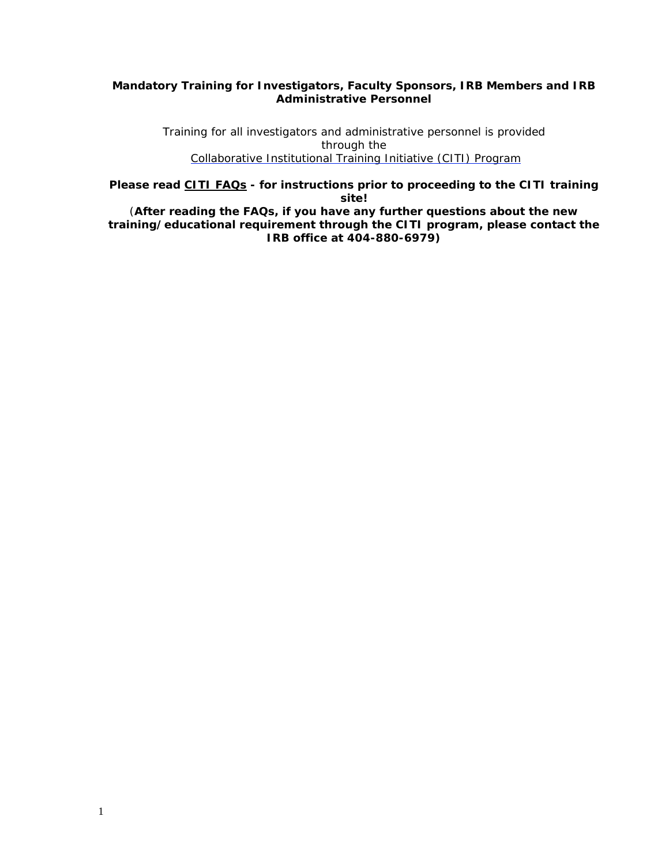# **Mandatory Training for Investigators, Faculty Sponsors, IRB Members and IRB Administrative Personnel**

Training for all investigators and administrative personnel is provided through the Collaborative Institutional Training Initiative (CITI) Program

*Please read CITI FAQs - for instructions prior to proceeding to the CITI training site!* 

(**After reading the FAQs, if you have any further questions about the new training/educational requirement through the CITI program, please contact the IRB office at 404-880-6979)**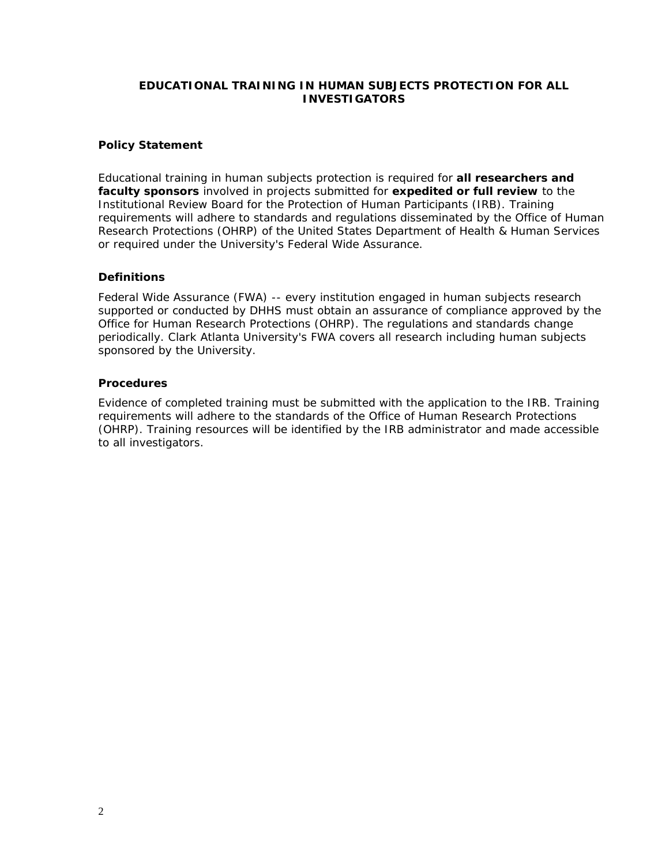## **EDUCATIONAL TRAINING IN HUMAN SUBJECTS PROTECTION FOR ALL INVESTIGATORS**

### **Policy Statement**

Educational training in human subjects protection is required for **all researchers and faculty sponsors** involved in projects submitted for **expedited or full review** to the Institutional Review Board for the Protection of Human Participants (IRB). Training requirements will adhere to standards and regulations disseminated by the Office of Human Research Protections (OHRP) of the United States Department of Health & Human Services or required under the University's Federal Wide Assurance.

### **Definitions**

Federal Wide Assurance (FWA) -- every institution engaged in human subjects research supported or conducted by DHHS must obtain an assurance of compliance approved by the Office for Human Research Protections (OHRP). The regulations and standards change periodically. Clark Atlanta University's FWA covers all research including human subjects sponsored by the University.

#### **Procedures**

Evidence of completed training must be submitted with the application to the IRB. Training requirements will adhere to the standards of the Office of Human Research Protections (OHRP). Training resources will be identified by the IRB administrator and made accessible to all investigators.